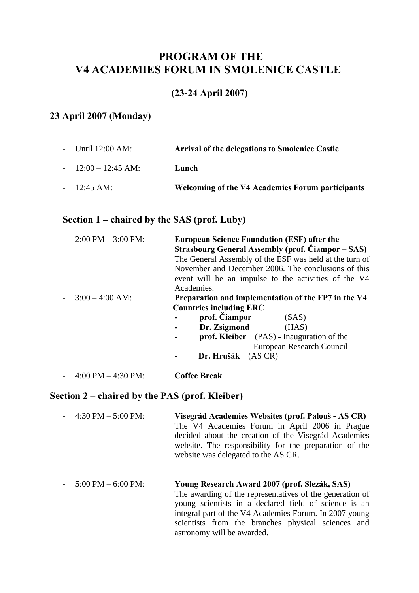## **PROGRAM OF THE V4 ACADEMIES FORUM IN SMOLENICE CASTLE**

## **(23-24 April 2007)**

# **23 April 2007 (Monday)**

| - Until $12:00 \text{ AM}$ : | <b>Arrival of the delegations to Smolenice Castle</b> |
|------------------------------|-------------------------------------------------------|
| $-12:00-12:45 \text{ AM:}$   | Lunch                                                 |
| $-12:45 \text{ AM}$          | Welcoming of the V4 Academies Forum participants      |

# **Section 1 – chaired by the SAS (prof. Luby)**

| $2:00 \text{ PM} - 3:00 \text{ PM}:$ | <b>European Science Foundation (ESF) after the</b><br><b>Strasbourg General Assembly (prof. Ciampor – SAS)</b><br>The General Assembly of the ESF was held at the turn of<br>November and December 2006. The conclusions of this<br>event will be an impulse to the activities of the V4<br>Academies. |
|--------------------------------------|--------------------------------------------------------------------------------------------------------------------------------------------------------------------------------------------------------------------------------------------------------------------------------------------------------|
| $3:00 - 4:00$ AM:                    | Preparation and implementation of the FP7 in the V4                                                                                                                                                                                                                                                    |
|                                      | <b>Countries including ERC</b>                                                                                                                                                                                                                                                                         |
|                                      | prof. Ciampor<br>(SAS)                                                                                                                                                                                                                                                                                 |
|                                      | Dr. Zsigmond<br>(HAS)                                                                                                                                                                                                                                                                                  |
|                                      | <b>prof. Kleiber</b> (PAS) - Inauguration of the                                                                                                                                                                                                                                                       |
|                                      | European Research Council                                                                                                                                                                                                                                                                              |
|                                      | Dr. Hrušák (AS CR)                                                                                                                                                                                                                                                                                     |
| $4:00 \text{ PM} - 4:30 \text{ PM}$  | <b>Coffee Break</b>                                                                                                                                                                                                                                                                                    |

## **Section 2 – chaired by the PAS (prof. Kleiber)**

| 4:30 PM $-$ 5:00 PM: | Visegrád Academies Websites (prof. Palouš - AS CR)<br>The V4 Academies Forum in April 2006 in Prague<br>decided about the creation of the Visegrád Academies<br>website. The responsibility for the preparation of the<br>website was delegated to the AS CR.                                                    |
|----------------------|------------------------------------------------------------------------------------------------------------------------------------------------------------------------------------------------------------------------------------------------------------------------------------------------------------------|
| 5:00 PM $-$ 6:00 PM: | Young Research Award 2007 (prof. Slezák, SAS)<br>The awarding of the representatives of the generation of<br>young scientists in a declared field of science is an<br>integral part of the V4 Academies Forum. In 2007 young<br>scientists from the branches physical sciences and<br>astronomy will be awarded. |